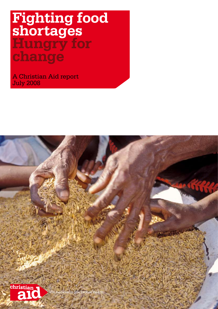# **Fighting food shortages Hungry for change**

A Christian Aid report July 2008

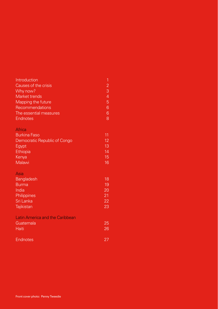### Introduction 1 and 1 and 1 and 1 and 1 and 1 and 1 and 1 and 1 and 1 and 1 and 1 and 1 and 1 and 1 and 1 and 1  $\geq$ Causes of the crisis 2 Why now? Market trends and the contract of the contract of the contract of the contract of the contract of the contract of the contract of the contract of the contract of the contract of the contract of the contract of the contract Mapping the future 5<br>Recommendations 6 Recommendations The essential measures 6 Endnotes 8

### **Africa**

| <b>Burkina Faso</b>          | 11 |
|------------------------------|----|
| Democratic Republic of Congo | 12 |
| Egypt                        | 13 |
| Ethiopia                     | 14 |
| Kenya                        | 15 |
| Malawi                       | 16 |

### Asia

| 18 |
|----|
| 19 |
| 20 |
| 21 |
| 22 |
| 23 |
|    |

### Latin America and the Caribbean

| Guatemala    | 25 |
|--------------|----|
| <b>Haiti</b> | 26 |
|              |    |

### **Endnotes**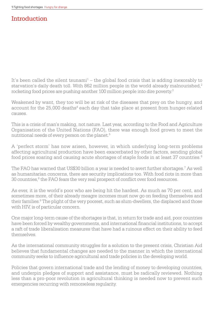## Introduction

It's been called the silent tsunami $1 -$  the global food crisis that is adding inexorably to starvation's daily death toll. With 862 million people in the world already malnourished,<sup>2</sup> rocketing food prices are pushing another 100 million people into dire poverty.<sup>3</sup>

Weakened by want, they too will be at risk of the diseases that prey on the hungry, and account for the 25,000 deaths<sup>4</sup> each day that take place at present from hunger-related causes.

This is a crisis of man's making, not nature. Last year, according to the Food and Agriculture Organisation of the United Nations (FAO), there was enough food grown to meet the nutritional needs of every person on the planet.<sup>5</sup>

A 'perfect storm' has now arisen, however, in which underlying long-term problems affecting agricultural production have been exacerbated by other factors, sending global food prices soaring and causing acute shortages of staple foods in at least 37 countries.<sup>6</sup>

The FAO has warned that US\$30 billion a year is needed to avert further shortages.<sup>7</sup> As well as humanitarian concerns, there are security implications too. With food riots in more than 30 countries,<sup>8</sup> the FAO fears the very real prospect of conflict over food resources.

As ever, it is the world's poor who are being hit the hardest. As much as 70 per cent, and sometimes more, of their already meagre incomes must now go on feeding themselves and their families.<sup>9</sup> The plight of the very poorest, such as slum-dwellers, the displaced and those with HIV, is of particular concern.

One major long-term cause of the shortages is that, in return for trade and aid, poor countries have been forced by wealthy governments, and international financial institutions, to accept a raft of trade liberalisation measures that have had a ruinous effect on their ability to feed themselves.

As the international community struggles for a solution to the present crisis, Christian Aid believes that fundamental changes are needed to the manner in which the international community seeks to influence agricultural and trade policies in the developing world.

Policies that govern international trade and the lending of money to developing countries, and underpin pledges of support and assistance, must be radically reviewed. Nothing less than a pro-poor revolution in agricultural thinking is needed now to prevent such emergencies recurring with remorseless regularity.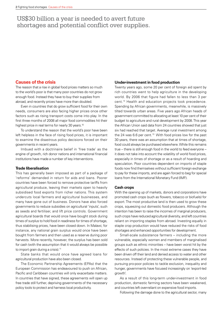### US\$30 billion a year is needed to avert future shortages and potential conflict over supplies.

### **Causes of the crisis**

The reason that a rise in global food prices matters so much to the world's poor is that many poor countries do not grow enough food. Instead they have to buy their supplies from abroad, and recently prices have more than doubled.

Even in countries that do grow sufficient food for their own needs, consumers are also facing higher prices once other factors such as rising transport costs come into play. In the first three months of 2008 all major food commodities hit their highest price in real terms for nearly 30 years.<sup>10</sup>

To understand the reason that the world's poor have been left helpless in the face of rising food prices, it is important to examine the disastrous policy decisions forced on their governments in recent years.

Imbued with a doctrinaire belief in 'free trade' as the engine of growth, rich donor nations and international financial institutions have made a number of key interventions.

### **Trade liberalisation**

This has generally been imposed as part of a package of 'reforms' demanded in return for aids and loans. Poorer countries have been forced to remove protective tariffs from agricultural produce, leaving their markets open to heavily subsidised food exports from richer nations. This system undercuts local farmers and agricultural businesses, and many have gone out of business. Donors have also forced governments to reduce subsidies on agricultural 'inputs', such as seeds and fertiliser, and lift price controls. Government agricultural boards that would once have bought stock during times of surplus to hold food in readiness for times of shortage, thus stabilising prices, have been closed down. In Malawi, for instance, any national grain surplus would once have been bought from farmers and then used as a reserve during poor harvests. More recently, however, the surplus has been sold for cash (with the assumption that it would always be possible to import grain during a crisis).<sup>11</sup>

State banks that would once have agreed loans for agricultural production have also been closed.

The Economic Partnership Agreements (EPAs) that the European Commission has endeavoured to push on African, Pacific and Caribbean countries will only exacerbate matters. In countries that have signed, these agreements will open up free trade still further, depriving governments of the necessary policy tools to protect and harness local productivity.

### **Under-investment in food production**

Twenty years ago, some 20 per cent of foreign aid spent by rich countries went to help agriculture in the developing world. By 2006 that figure had fallen to less than 3 per cent.12 Health and education projects took precedence. Spending by African governments, meanwhile, is massively tilted towards urban areas. Five years ago African heads of government committed to allocating at least 10 per cent of their budget to agriculture and rural development by 2008. This year the African Union said data from 24 countries showed that just six had reached that target. Average rural investment among the 24 was 6.6 per cent.<sup>13</sup> With food prices low for the past 30 years, there was an assumption that at times of shortage, food could always be purchased elsewhere. While this remains true – there is still enough food in the world to feed everyone – it does not take into account the volatility of world food prices, especially in times of shortage or as a result of hoarding and speculation. Poor countries dependent on imports of staple foods now find themselves without sufficient foreign exchange to pay for these imports, and are again forced to beg for special loans from the International Monetary Fund (IMF).

### **Cash crops**

With the opening up of markets, donors and corporations have promoted cash crops (such as flowers, tobacco or biofuels) for export. The most productive land is then used to grow these crops, squeezing out domestic food producers. Although the intention has been to raise the incomes of marginal producers, such crops have reduced agricultural diversity, and left countries reliant on importing staples from abroad. Investing equally in staple crop production would have reduced the risks of food shortages and enhanced opportunities for development.

Small-scale subsistence farmers – including the more vulnerable, especially women and members of marginalised groups such as ethnic minorities – have been worst hit by the effects of such policies. In the most extreme cases they have been driven off their land and denied access to water and other resources. Instead of protecting these vulnerable people, and pursuing pro-poor policies to tackle exclusion, inequality and hunger, governments have focused increasingly on 'export-led growth'.

As a result of this long-term under-investment in food production, domestic farming sectors have been weakened, and countries left over-reliant on expensive food imports.

Following the damage done to the agricultural sector, many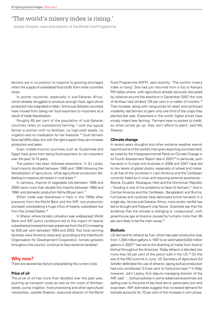## 'The world's misery index is rising.'

Josette Sheeran, executive director of the World Food Programme

farmers are in no position to respond to growing shortages when the supply of subsidised food stuffs from richer countries stops.

In poorer countries, especially in sub-Saharan Africa, which already struggled to produce enough food, agricultural production has stagnated or fallen. Some sub-Saharan countries have moved from being net food exporters to importers as a result of trade liberalisation.

Roughly 65 per cent of the population of sub-Saharan countries relies on subsistence farming,<sup>14</sup> with the typical farmer a woman with no fertiliser, no high-yield seeds, no irrigation and no medication for her livestock.15 Such farmers face real difficulties, but with the right support they can increase production and sales.

Even middle-income countries such as Guatemala and Egypt have gone from being food exporters to net importers over the past 10-15 years.

The pattern has been followed elsewhere. In Sri Lanka, food imports doubled between 1985 and 1998 following the liberalisation of agriculture, while agricultural production fell, leading to massive job losses in rural areas.16

In Jamaica, imports of vegetable oils between 1995 and 2000 were more than double the imports between 1990 and 1994, and domestic production fell by 68 per cent.<sup>17</sup>

When trade was liberalised in Haiti in the 1990s after pressure from the World Bank and the IMF, rice production slumped, precipitating a huge influx of heavily subsidised rice from the United States.<sup>18</sup>

In Ghana, where tomato cultivation was widespread, World Bank and IMF policy conditions led to the import of heavily subsidised processed tomato preserves from the EU increasing by 628 per cent between 1993 and 2003. Two local canning factories were forced to close and, according to the Interchurch Organisation for Development Cooperation, tomato growers throughout the country 'continue to face extreme hardship'.

### **Why now?**

There are several key factors precipitating the current crisis.

### **Price of oil**

The price of oil has more than doubled over the past year, pushing up transport costs as well as the costs of fertiliser, seeds, pump irrigation, food processing and other agricultural necessities. Josette Sheeran, executive director of the World

Food Programme (WFP), said recently: 'The world's misery index is rising.' She had just returned from a trip to Kenya's Rift Valley where, with agriculture already seriously disrupted by violence around the elections in December 2007, the cost of fertiliser had climbed 135 per cent in a matter of months.19 That increase, along with rising prices for seed, and continued instability, led farmers to plant only one third of the crops they planted last year. Elsewhere in the world, higher prices have simply meant less farming. 'Farmers have no access to credit, so when prices go up, they can't afford to plant,' said Ms Sheeran.

### **Climate change**

In recent years droughts and other extreme weather events have hit some of the world's main grain-exporting countries hard, as noted by the Intergovernmental Panel on Climate Change in its Fourth Assessment Report late in 2007.<sup>20</sup> In particular, poor harvests in Europe and Australia in 2006 and 2007 have led to low levels of global stocks, especially of wheat and maize. In all five of the countries in Latin America and the Caribbean currently listed as in crisis and requiring external assistance – Bolivia, Ecuador, Nicaragua, Haiti and the Dominican Republic  $-$  flooding is one of the problems to have hit farmers.<sup>21</sup> And in Central America and the Caribbean, Bangladesh and Burma, hurricanes and cyclones have destroyed entire harvests in a single day. Across sub-Saharan Africa, more erratic rainfall has led to drought and frequent crop failure. Scientists say that the evidence that the climate is changing is 'unequivocal', with greenhouse gas emissions caused by humans more than 90 per cent likely to be the main cause.<sup>22</sup>

### **Biofuels**

US demand for ethanol as fuel, which has seen production soar from 1,300 million gallons in 1997 to an estimated 6,500 million gallons in 2007,<sup>23</sup> has led to the diverting of maize from food to biofuel throughout the Americas. Today ethanol is blended into more than 50 per cent of the petrol sold in the US.<sup>24</sup> On the eve of the FAO summit in June, US Secretary of Agriculture Ed Schafer defended the use of ethanol, saying biofuel production had only contributed '2-3 per cent' to food price rises.<sup>25</sup> In May, however, John Lipsky, first deputy managing director of the IMF, said: '…biofuel policies in some advanced economies are spilling over to the price of key food items, particularly corn and soya bean. IMF estimates suggest that increased demand for biofuels accounts for 70 per cent of the increase in corn prices,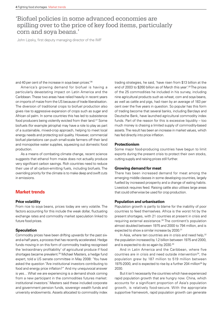### 'Biofuel policies in some advanced economies are spilling over to the price of key food items, particularly corn and soya beans.'

John Lipsky, first deputy managing director of the IMF

and 40 per cent of the increase in soya bean prices.<sup>'26</sup>

America's growing demand for biofuel is having a particularly devastating impact on Latin America and the Caribbean. These two areas have relied heavily in recent years on imports of maize from the US because of trade liberalisation. The diversion of traditional crops to biofuel production also gives rise to aggressive expansion of crops such as sugar and African oil palm. In some countries this has led to subsistence food producers being violently evicted from their land.<sup>27</sup> Some biofuels (for example jatropha) may have a role to play as part of a sustainable, mixed-crop approach, helping to meet local energy needs and protecting soil quality. However, commercial biofuel plantations can push small-scale farmers off their land and monopolise water supplies, squeezing out domestic food production.

As a means of combating climate change, recent science suggests that ethanol from maize does not actually produce very significant carbon savings. Rich countries need to reduce their use of all carbon-emitting fuels, including biofuels. The overriding priority for the climate is to make deep and swift cuts in emissions.

### **Market trends**

### **Price volatility**

From rice to soya beans, prices today are very volatile. The factors accounting for this include the weak dollar, fluctuating exchange rates and commodity market speculation linked to future food prices.

### **Speculation**

Commodity prices have been drifting upwards for the past sixand-a-half years, a process that has recently accelerated. Hedge funds moving in on this form of commodity trading recognised the 'extraordinary profitability' of agricultural produce if food shortages became prevalent.28 Michael Masters, a hedge fund expert, told a US senate committee in May 2008: 'You have asked the question "Are institutional investors contributing to food and energy price inflation?" And my unequivocal answer is yes… What we are experiencing is a demand shock coming from a new participant in the commodities futures market: institutional investors.' Masters said these included corporate and government pension funds, sovereign wealth funds and university endowments. Assets allocated to commodity index trading strategies, he said, 'have risen from \$13 billion at the end of 2003 to \$260 billion as of March this year'.29 The prices of the 25 commodities he included in his survey, including nine agricultural products such as wheat, corn and soya beans, as well as cattle and pigs, had risen by an average of 183 per cent over the five years in question. So popular has this form of trading become that several banks, including Barclays and Deutsche Bank, have launched agricultural commodity index funds. Part of the reason for this is excessive liquidity – too much money is chasing a limited supply of commodity-based assets. The result has been an increase in market values, which has fed directly into price inflation.

### **Protectionism**

Some major food-producing countries have begun to limit exports during the present crisis to protect their own stocks, cutting supply and raising prices still further.

### **Growing demand for meat**

There has been increased demand for meat among the emerging middle classes in some developing countries, largely fuelled by increased prosperity and a change of eating habits. Livestock requires feed. Raising cattle also utilises large areas that could otherwise be used for crop production.

### **Population and urbanisation**

Population growth is partly to blame for the inability of poor countries to feed themselves. Africa is the worst hit by the present shortages, with 21 countries at present in crisis and requiring external assistance.30 The continent's population almost doubled between 1975 and 2000 to 794 million, and is expected to show a similar increase by 2030.<sup>31</sup>

In Asia, where ten countries are in crisis and need help,  $32$ the population increased by 1.2 billion between 1975 and 2000, and is expected to do so again by 2030.<sup>33</sup>

And in Latin America and the Caribbean, where five countries are in crisis and need outside intervention<sup>34</sup>, the population grew by 187 million to 519 million between 1975-2000, and is expected to rise by a further 204 million<sup>35</sup> by 2030.

But it isn't necessarily the countries which have experienced rapid population growth that are hungry now. China, which accounts for a significant proportion of Asia's population growth, is relatively food-secure. With the appropriate supportive framework, rapid population growth can generate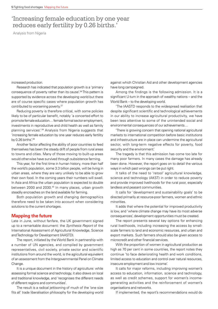### 'Increasing female education by one year reduces early fertility by 0.26 births.'

Analysis from Nigeria

increased production.

Research has indicated that population growth is a 'primary consequence of poverty rather than its cause'.36 This pattern is supported by evidence across the developing world but there are of course specific cases where population growth has contributed to worsening poverty.<sup>37</sup>

Reducing poverty is therefore critical, with some policies likely to be of particular benefit, notably 'a concerted effort to promote female education… female formal sector employment, investments in reproductive and child health as well as family planning services'.38 Analysis from Nigeria suggests that 'increasing female education by one year reduces early fertility by  $0.26$  births'. $39$ 

Another factor affecting the ability of poor countries to feed themselves has been the steady drift of people from rural areas to towns and cities. Many of those moving to built-up areas would otherwise have survived through subsistence farming.

This year, for the first time in human history, more than half the world's population, some 3.3 billion people, will be living in urban areas, where they are very unlikely to be able to grow their own food. In the coming years their numbers will swell. In Asia and Africa the urban population is expected to double between 2000 and 2030.<sup>40</sup> In many places, urban growth steadily encroaches on the land available for farming.

Both population growth and changing demographics therefore need to be taken into account when considering solutions to the current shortages.

### **Mapping the future**

Late in June, without fanfare, the UK government signed up to a remarkable document: the *Synthesis Report* of the International Assessment of Agricultural Knowledge, Science and Technology for Development (IAASTD).

The report, initiated by the World Bank in partnership with a number of UN agencies, and compiled by government representatives, civil society, private sector and scientific institutions from around the world, is the agricultural equivalent of an assessment from the Intergovernmental Panel on Climate Change.

It is a unique document in the history of agriculture: while assessing formal science and technology, it also draws on local and traditional knowledge, and 'recognises the different needs of different regions and communities'.

The result is a radical jettisoning of much of the 'one size fits all' trade liberalisation philosophy for the developing world against which Christian Aid and other development agencies have long campaigned.

Among the findings is the following admission. It is a significant U-turn in the approach of wealthy nations – and the World Bank – to the developing world.

'The IAASTD responds to the widespread realisation that despite significant scientific and technological achievements in our ability to increase agricultural productivity, we have been less attentive to some of the unintended social and environmental consequences of our achievements…

'There is growing concern that opening national agricultural markets to international competition before basic institutions and infrastructure are in place can undermine the agricultural sector, with long-term negative effects for poverty, food security and the environment.'

The tragedy is that this admission has come too late for many poor farmers. In many cases the damage has already been done. However, the report goes on to detail the various ways in which past wrongs can be put right.

It talks of the need to 'retool' agricultural knowledge, science and technology (AKST) in order to reduce poverty and provide improved livelihoods for the rural poor, especially landless and peasant communities.

It calls for 'development and sustainability goals' to be directed primarily at resource-poor farmers, women and ethnic minorities.

It adds that where the potential for improved productivity is low, and 'where climate change may have its most adverse consequences', development opportunities must be created.

The report presents several key options for enhancing rural livelihoods, including increasing the access by smallscale farmers to land and economic resources, and urban and export markets. Such farmers should also be given access to microcredit and other financial services.

With the proportion of women in agricultural production as high as 70 per cent in some countries, the report notes they continue 'to face deteriorating health and work conditions, limited access to education and control over natural resources, insecure employment and low income'.

It calls for major reforms, including improving women's access to education, information, science and technology, as well as credit schemes, support for women's incomegenerating activities and the reinforcement of women's organisations and networks.

If implemented, the report's recommendations would do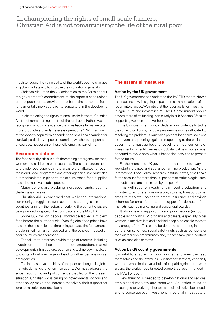## In championing the rights of small-scale farmers, Christian Aid is not romanticising the life of the rural poor.

much to reduce the vulnerability of the world's poor to changes in global markets and to improve their conditions generally.

Christian Aid urges the UK delegation to the G8 to honour the government's commitment to the report's conclusions and to push for its provisions to form the template for a fundamentally new approach to agriculture in the developing world.

In championing the rights of small-scale farmers, Christian Aid is not romanticising the life of the rural poor. Rather, we are recognising a body of evidence that small-scale farms are often more productive than large-scale operations.<sup>41</sup> With so much of the world's population dependent on small-scale farming for survival, particularly in poorer countries, we should support and encourage, not penalise, those following this way of life.

### **Recommendations**

The food security crisis is a life-threatening emergency for men, women and children in poor countries. There is an urgent need to provide food supplies in the areas worst affected, through the World Food Programme and other agencies. We must also put mechanisms in place to make sure those food supplies reach the most vulnerable people.

Major donors are pledging increased funds, but the challenge is massive.

Christian Aid is concerned that while the international community struggles to avert acute food shortages – in some countries famine – the factors underlying the current crisis are being ignored, in spite of the conclusions of the IAASTD.

Some 862 million people worldwide lacked sufficient food before the current crisis. Even if global food prices have reached their peak, for the time being at least, the fundamental problems will remain unresolved until the policies imposed on poor countries are addressed.

The failure to embrace a wide range of reforms, including investment in small-scale staple food production, market development, infrastructure, science and technology – not least to counter global warming – will lead to further, perhaps worse, emergencies.

The increased vulnerability of the poor to changes in global markets demands long-term solutions. We must address the social, economic and policy trends that led to the present situation. Christian Aid is calling on governments, donors and other policy-makers to increase massively their support for long-term agricultural development.

### **The essential measures**

### **Action by the UK government**

The UK government has endorsed the IAASTD report. Now it must outline how it is going to put the recommendations of the report into practice. We note that the report calls for investment in agriculture and infrastructure. The UK government should devote more of its funding, particularly in sub-Saharan Africa, to supporting work on rural livelihoods.

The UK government should declare how it intends to tackle the current food crisis, including any new resources allocated to resolving the problem. It must also present long-term solutions to prevent it happening again. In responding to the crisis, the government must go beyond recycling announcements of investment in scientific research. Substantial new money must be found to tackle both what is happening now and to prepare for the future.

Furthermore, the UK government must look for ways to kick-start increased and sustained farming production. As the International Food Policy Research Institute notes, small-scale farms account for more than 90 per cent of Africa's agricultural production and are dominated by the poor.<sup>42</sup>

This will require investment in food production and infrastructure (for example irrigation, storage, transport to get crops to markets), access to credit, insurance and savings schemes for small farmers, and support for domestic food markets (such as marketing and agricultural boards).

It also means supporting very poor people (including people living with HIV, orphans and carers, especially older women, slum dwellers and disabled people) to enable them to buy enough food. This could be done by supporting incomegeneration schemes, social safety nets such as pensions or food-distribution programmes and, if necessary, price controls such as subsidies or tariffs.

### **Action by G8 country governments**

It is vital to ensure that poor women and men can feed themselves and their families. Subsistence farmers, especially women, who do the vast bulk of unpaid agricultural work around the world, need targeted support, as recommended in the IAASTD report.43

New thinking is needed to develop national and regional staple food markets and reserves. Countries must be encouraged to work together to plan their collective food needs and to cooperate over investment in regional infrastructure.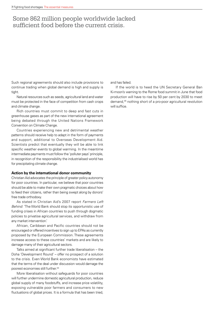### Some 862 million people worldwide lacked sufficient food before the current crisis.

Such regional agreements should also include provisions to continue trading when global demand is high and supply is tight.

Natural resources such as seeds, agricultural land and water must be protected in the face of competition from cash crops and climate change.

Rich countries must commit to deep and fast cuts in greenhouse gases as part of the new international agreement being debated through the United Nations Framework Convention on Climate Change.

Countries experiencing new and detrimental weather patterns should receive help to adapt in the form of payments and support, additional to Overseas Development Aid. Scientists predict that eventually they will be able to link specific weather events to global warming. In the meantime intermediate payments must follow the 'polluter pays' principle, in recognition of the responsibility the industrialised world has for precipitating climate change.

### **Action by the international donor community**

Christian Aid advocates the principle of greater policy autonomy for poor countries. In particular, we believe that poor countries should be able to make their own pragmatic choices about how to feed their citizens, rather than being swept along by donors' free trade orthodoxy.

As stated in Christian Aid's 2007 report *Farmers Left Behind*: 'The World Bank should stop its opportunistic use of funding crises in African countries to push through dogmatic policies to privatise agricultural services, and withdraw from any market intervention.'

African, Caribbean and Pacific countries should not be encouraged or offered incentives to sign up to EPAs as currently proposed by the European Commission. These agreements increase access to these countries' markets and are likely to damage many of their agricultural sectors.

Talks aimed at significant further trade liberalisation – the Doha 'Development Round' – offer no prospect of a solution to the crisis. Even World Bank economists have estimated that the terms of the deal under discussion would damage the poorest economies still further.<sup>44</sup>

More liberalisation without safeguards for poor countries will further undermine domestic agricultural production, reduce global supply of many foodstuffs, and increase price volatility, exposing vulnerable poor farmers and consumers to new fluctuations of global prices. It is a formula that has been tried, and has failed.

If the world is to heed the UN Secretary General Ban Ki-moon's warning to the Rome food summit in June that food production will have to rise by 50 per cent by 2030 to meet demand,45 nothing short of a pro-poor agricultural revolution will suffice.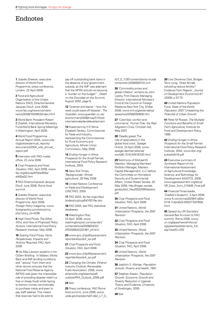### **Endnotes**

**1** Josette Sheeran, executive director of World Food Programme, press conference, London, 22 April 2008.

**2** Food and Agricultural Organisation of the United Nations (FAO), Director-General Jacques Diouf, June 2008, www.fao.org/newsroom/en/ news/2008/1000853/index.html

**3** World Bank President Robert B.Zoellick, International Monetary Fund-World Bank Spring Meetings in Washington, April 2008.

**4** World Food Programme Annual Report 2004, www.wfp. org/policies/annual\_reports/ documents/2004 wfp\_annual report.pdf

**5** Interview with FAO media office, 23 June 2008.

**6** *Crop Prospects and Food Situation*, FAO, April 2008, www. fao.org/docrep/010/ai465e/ ai465e02.htm

**7** FAO Director-General Jacques Diouf, June 2008, Rome food summit.

**8** Josette Sheeran, executive director of World Food Programme, April 2008, *Foreign Policy* magazine, www. foreignpolicy.com/story/cms. php?story\_id=4296

**9** *High Food Prices: The What, Who, and How of Proposed Policy Actions*. International Food Policy Research Institute, May 2008.

**10** *Soaring Food Prices, Facts, Perspectives, Impacts and Actions Required*, FAO, April 2008.

**11** As Max Lawson explains in his Oxfam Briefing: 'In Malawi, World Bank and IMF lending conditions and "advice" from them and other donors ensures that the National Food Reserve Agency (NFRA) was given the impossible role of providing disaster relief (i.e. free or cheap food) while having to borrow money commercially to purchase maize and even to pay staff salaries. This meant that reserves had to be sold to

pay off outstanding bank loans in the absence of any government subsidy, as the IMF was adamant that the NFRA should not become a "burden on the budget" ', *Death on the Doorstep on the Summit*, August 2002, page 8.

**12** 'Greener and leaner – how the west could stave off disaster', *The Guardian*, www.guardian.co.uk/ environment/2008/may/31/food. internationalaidanddevelopment

**13** Statement by H E Mme Elisabeth Tankeu, Commissioner for Trade and Industry, representing the Commissioner for Rural Economy and Agriculture, African Union Commission, May 2008.

**14** *Ending Hunger in Africa. Prospects for the Small Farmer,*  International Food Policy Research Institute, 2004.

**15** *New York Times*, 'Backgrounder: African agriculture', 28 May 2008.

**16** United Nations Conference on Trade and Development (UNCTAD), 2000.

**17** FAO 2003, ftp.fao.org/unfao/ bodies/ccp/ccp64/Y8319e.doc

**18** FAO 2004, see FAO statistical databases.

**19** *Washington Post*, 23 April 2008, www. washingtonpost.com/wp-dyn/ content/article/2008/04/22/ AR2008042201481\_pf.html

**20** www.ipcc.ch/pdf/assessmentreport/ar4/syr/ar4\_syr.pdf

**21** *Crop Prospects and Food Situation*, FAO, April 2008.

**22** www.ipcc.ch/pdf/assessmentreport/ar4/syr/ar4\_syr.pdf

**23** *Changing the Climate. Ethanol Industry Outlook*, Renewable Fuels Association, 2008, www. ethanolrfa.org/objects/pdf/ outlook/RFA\_Outlook\_2008.pdf

### **24** Ibid.

**25** Press conference, FAO Rome food summit, June 2008, www. usda.gov/wps/portal/!ut/p/\_s.7\_0 A/7\_0\_1OB?contentidonly=true& contentid=2008/06/0143.xml

**26** 'Commodity prices and global inflation', remarks by John Lipsky, First Deputy Managing Director, International Monetary Fund at the Council on Foreign Relations,New York City, 8 May 2008, www.imf.org/external/np/ speeches/2008/050808.htm

**27** 'Colombia: conflict and commerce', *Human Tide: the Real Migration Crisis*, Christian Aid, May 2007.

**28** 'Deadly greed. The role of speculators in the global food crisis', Spiegel Online, 23 April 2008, www. spiegel.de/international/ world/0,1518,549187,00.html

**29** Testimony of Michael W Masters, Managing Member/ Portfolio Manager, Masters Capital Management, LLC before the Committee on Homeland Security and Governmental Affairs, United States Senate, 20 May 2008, http://hsgac.senate. gov/public/\_files/052008Masters. pdf

**30** *Crop Prospects and Food Situation*, FAO, April 2008.

**31** United Nations, *World Urbanization Prospects, the 2001 Revision*.

**32** *Crop Prospects and Food Situation*, FAO, April 2008.

**33** United Nations, *World Urbanization Prospects, the 2001 Revision*.

**34** *Crop Prospects and Food Situation*, FAO, April 2008.

**35** United Nations, *World Urbanization Prospects, the 2001 Revision*.

**36** Joachim S. Kibirige, *Population Growth, Poverty and Health*, 1997.

**37** Stephen Klasen, *Population Growth, Economic Growth and Poverty Reduction in Uganda. Theory and Evidence*, University of Goettingen, 2005.

**39** Una Okonkwo Osili, Bridget Terry Long, 'Does female schooling reduce fertility? Evidence from Nigeria'*, Journal of Development Economics 87 (2008)*, p 57-75.

**40** United Nations Population Fund, *State of the World Population 2007. Unleashing the Potential of Urban Growth*.

**41** Peter M Rosset, *The Multiple Functions and Benefits of Small Farm Agriculture*, Institute for Food and Development Policy, 1999.

**42** *Ending Hunger in Africa. Prospects for the Small Farmer*. International Food Policy Research Institute, 2004, www.ifpri.org/ pubs/ib/ib16.pdf

**43** Executive summary of *Synthesis Report* of the International Assessment of Agricultural Knowledge, Science, and Technology for Development (IAASTD), 2008, www.agassessment.org/docs/ SR\_Exec\_Sum\_210408\_Final.pdf

**44** *Financial Times* leader, 'Zoellick's blueprint', 3 April 2008, www.ft.com/cms/s/0/3641a82e-0118-11dd-a0c5-000077b07658. html

**45** Speech by UN Secretary General Ban Ki-moon to FAO summit, Rome 2008, www. un.org/apps/news/infocus/ sgspeeches/statments\_full. asp?statID=255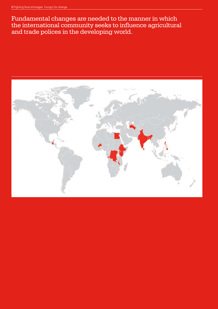Fundamental changes are needed to the manner in which the international community seeks to influence agricultural and trade polices in the developing world. The either solid CA  $\sim$ 

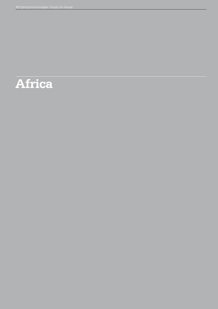# **Africa**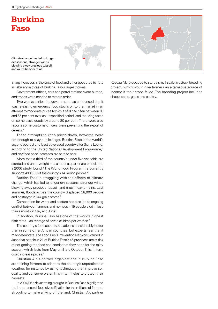## **Burkina Faso**

Climate change has led to longer dry seasons, stronger winds blowing away precious topsoil, and much heavier rains

Sharp increases in the price of food and other goods led to riots in February in three of Burkina Faso's largest towns.

Government offices, cars and petrol stations were burned, and troops were needed to restore order.<sup>1</sup>

Two weeks earlier, the government had announced that it was releasing emergency food stocks on to the market in an attempt to moderate prices (which it said had risen between 10 and 65 per cent over an unspecified period) and reducing taxes on some basic goods by around 30 per cent. There were also reports some customs officers were preventing the export of cereals.<sup>2</sup>

These attempts to keep prices down, however, were not enough to allay public anger. Burkina Faso is the world's second poorest and least developed country after Sierra Leone, according to the United Nations Development Programme,<sup>3</sup> and any food price increases are hard to bear.

More than a third of the country's under-five-year-olds are stunted and underweight and almost a quarter are emaciated, a 2006 study found.<sup>4</sup> The World Food Programme currently supports 490,000 of the country's 14 million people.<sup>5</sup>

Burkina Faso is struggling with the effects of climate change, which has led to longer dry seasons, stronger winds blowing away precious topsoil, and much heavier rains. Last summer, floods across the country displaced 28,000 people and destroyed 2,344 grain stores.<sup>6</sup>

Competition for water and pasture has also led to ongoing conflict between farmers and nomads – 15 people died in less than a month in May and June.<sup>7</sup>

In addition, Burkina Faso has one of the world's highest birth rates – an average of seven children per woman.<sup>8</sup>

The country's food security situation is considerably better than in some other African countries, but experts fear that it may deteriorate. The Food Crisis Prevention Network warned in June that people in 21 of Burkina Faso's 45 provinces are at risk of not getting the food and seeds that they need for the rainy season, which lasts from May until late October. This, in turn, could increase prices.9

Christian Aid's partner organisations in Burkina Faso are training farmers to adapt to the country's unpredictable weather, for instance by using techniques that improve soil quality and conserve water. This in turn helps to protect their harvests.

In 2004/05 a devastating drought in Burkina Faso highlighted the importance of food diversification for the millions of farmers struggling to make a living off the land. Christian Aid partner



Réseau Marp decided to start a small-scale livestock breeding project, which would give farmers an alternative source of income if their crops failed. The breeding project includes sheep, cattle, goats and poultry.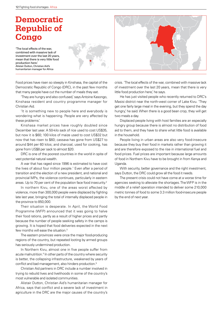## **Democratic Republic of Congo**

'The local effects of the war, combined with massive lack of investment over the last 20 years, mean that there is very little food production here.' Alistair Dutton, Christian Aid's humanitarian manager for Africa



Food prices have risen so steeply in Kinshasa, the capital of the Democratic Republic of Congo (DRC), in the past few months that many people have cut the number of meals they eat.

'They are hungry and also confused,' says Antoine Kasongo, Kinshasa resident and country programme manager for Christian Aid.

'It is something new to people here and everybody is wondering what is happening. People are very affected by these problems.'

Kinshasa market prices have roughly doubled since December last year. A 50-kilo sack of rice used to cost US\$35, but now it is \$60; 100 kilos of maize used to cost US\$32 but now that has risen to \$60; cassava has gone from US\$27 to around \$44 per 60 kilos; and charcoal, used for cooking, has gone from US\$8 per sack to almost \$20.

DRC is one of the poorest countries in the world in spite of vast potential natural wealth.

A war that has raged since 1996 is estimated to have cost the lives of about four million people.<sup>1</sup> Even after a period of transition and the election of a new president, and national and provincial MPs, the violence continues, particularly in eastern areas. Up to 70 per cent of the population face food insecurity.2

In northern Kivu, one of the areas worst affected by violence, more than 300,000 people were displaced by fighting late last year, bringing the total of internally displaced people in the province to 850,000.

Their situation is desperate. In April, the World Food Programme (WFP) announced that it was going to halve their food rations, partly as a result of higher prices and partly because the number of people seeking safety in the camps is growing. It is hoped that food deliveries expected in the next few months will ease the situation.<sup>3</sup>

The eastern provinces were once the major food-producing regions of the country, but repeated looting by armed groups has seriously undermined production.

In Northern Kivu, almost one in five people suffer from acute malnutrition.<sup>4</sup> In other parts of the country where security is better, the collapsing infrastructure, weakened by years of conflict and bad management, also hinders production.<sup>5</sup>

Christian Aid partners in DRC include a number involved in trying to rebuild lives and livelihoods in some of the country's most vulnerable and isolated communities.

Alistair Dutton, Christian Aid's humanitarian manager for Africa, says that conflict and a severe lack of investment in agriculture in the DRC are the major causes of the country's

crisis. 'The local effects of the war, combined with massive lack of investment over the last 20 years, mean that there is very little food production here,' he says.

He has just visited people who recently returned to DRC's Masisi district near the north-west corner of Lake Kivu. 'They get one fairly large meal in the evening, but they spend the day hungry, he said. When there is a good bean crop, they will get two meals a day.

Displaced people living with host families are an especially hungry group because there is almost no distribution of food aid to them, and they have to share what little food is available in the household.

People living in urban areas are also very food-insecure because they buy their food in markets rather than growing it and are therefore exposed to the rise in international fuel and food prices. Fuel prices are important because large amounts of food in Northern Kivu have to be brought in from Kenya and Uganda.

With security, better governance and the right investment, says Dutton, the DRC could grow all the food it needs.

The present crisis could not have come at a worse time for agencies seeking to alleviate the shortages. The WFP is in the middle of a relief operation intended to deliver some 210,000 metric tonnes of food to some 3.3 million food-insecure people by the end of next year.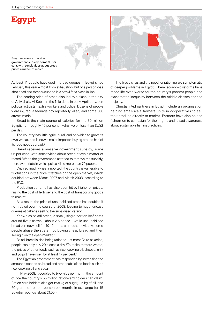## **Egypt**

Bread receives a massive government subsidy, some 96 per cent, with sensitivities about bread prices a matter of record.

At least 11 people have died in bread queues in Egypt since February this year – most from exhaustion, but one person was shot dead and three wounded in a brawl for a place in line.<sup>1</sup>

The soaring price of bread also led to a clash in the city of Al-Mahalla Al-Kobra in the Nile delta in early April between political activists, textile workers and police. Dozens of people were injured, a teenage boy reportedly killed, and some 500 arrests made.<sup>2</sup>

Bread is the main source of calories for the 30 million Egyptians – roughly 40 per cent – who live on less than \$US2 per day.

The country has little agricultural land on which to grow its own wheat, and is now a major importer, buying around half of its food needs abroad.3

Bread receives a massive government subsidy, some 96 per cent, with sensitivities about bread prices a matter of record. When the government last tried to remove the subsidy, there were riots in which police killed more than 70 people.

With so much wheat imported, the country is vulnerable to fluctuations in the price it fetches on the open market, which doubled between March 2007 and March 2008, according to the FAO.

Production at home has also been hit by higher oil prices, raising the cost of fertiliser and the cost of transporting goods to market.

As a result, the price of unsubsidised bread has doubled if not trebled over the course of 2008, leading to huge, uneasy queues at bakeries selling the subsidised version.

Known as baladi bread, a small, single-portion loaf costs around five piastres – about 2.5 pence – while unsubsidised bread can now sell for 10-12 times as much. Inevitably, some people abuse the system by buying cheap bread and then selling it on the open market.<sup>4</sup>

Baladi bread is also being rationed – at most Cairo bakeries, people can only buy 20 pieces a day.<sup>5</sup> To make matters worse, the prices of other foods such as rice, cooking oil, cheese, milk and yogurt have risen by at least 17 per cent.<sup>6</sup>

The Egyptian government has responded by increasing the amount it spends on bread and other subsidised foods such as rice, cooking oil and sugar.

In May 2008, it doubled to two kilos per month the amount of rice the country's 55 million ration-card holders can claim. Ration-card holders also get two kg of sugar, 1.5 kg of oil, and 50 grams of tea per person per month, in exchange for 15 Egyptian pounds (about £1.50).7

The bread crisis and the need for rationing are symptomatic of deeper problems in Egypt. Liberal economic reforms have made life even worse for the country's poorest people and exacerbated inequality between the middle classes and the majority.

Christian Aid partners in Egypt include an organisation helping small-scale farmers unite in cooperatives to sell their produce directly to market. Partners have also helped fishermen to campaign for their rights and raised awareness about sustainable fishing practices.

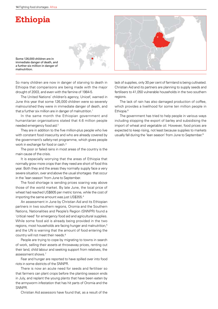## **Ethiopia**



Some 126,000 children are in immediate danger of death, and a further six million in danger of malnutrition.

So many children are now in danger of starving to death in Ethiopia that comparisons are being made with the major drought of 2003, and even with the famine of 1984-5.

The United Nations' children's agency, Unicef, warned in June this year that some 126,000 children were so severely malnourished they were in immediate danger of death, and that a further six million are in danger of malnutrition.<sup>1</sup>

In the same month the Ethiopian government and humanitarian organisations stated that 4.6 million people needed emergency food aid.2

They are in addition to the five million-plus people who live with constant food insecurity and who are already covered by the government's safety-net programme, which gives people work in exchange for food or cash.3

The poor or failed rains in most areas of the country is the main cause of the crisis.

It is especially worrying that the areas of Ethiopia that normally grow more crops than they need are short of food this year. Both they and the areas they normally supply face a very severe situation, over and above the usual shortages that occur in the 'lean season' from June to September.

The food shortage is sending prices soaring way above those of the world market. By late June, the local price of wheat had reached US\$605 per metric tonne, while the cost of importing the same amount was just US\$355.4

An assessment in June by Christian Aid and its Ethiopian partners in two southern regions, Oromia and the Southern Nations, Nationalities and People's Region (SNNPR) found a 'critical need' for emergency food aid and agricultural supplies. While some food aid is already being provided in the two regions, most households are facing hunger and malnutrition,<sup>5</sup> and the UN is warning that the amount of food entering the country will not meet their needs.6

People are trying to cope by migrating to towns in search of work, selling their assets at throwaway prices, renting out their land, child labour and seeking support from relatives, the assessment shows.7

Fear and hunger are reported to have spilled over into food riots in some districts of the SNNPR.

There is now an acute need for seeds and fertiliser so that farmers can plant crops before the planting season ends in July, and replant the young plants that have been eaten by the armyworm infestation that has hit parts of Oromia and the SNNPR.

Christian Aid assessors have found that, as a result of the

lack of supplies, only 30 per cent of farmland is being cultivated. Christian Aid and its partners are planning to supply seeds and fertilisers to 41,050 vulnerable households in the two southern regions.

The lack of rain has also damaged production of coffee, which provides a livelihood for some ten million people in Ethiopia.<sup>8</sup>

The government has tried to help people in various ways including stopping the export of barley and subsidising the import of wheat and vegetable oil. However, food prices are expected to keep rising, not least because supplies to markets usually fall during the 'lean season' from June to September.<sup>9</sup>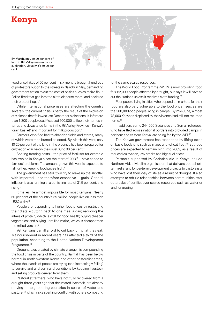## **Kenya**





While international price rises are affecting the country severely, the current crisis is partly the result of the explosion of violence that followed last December's elections. It left more than 1,300 people dead, $2$  caused 500,000 to flee their homes in terror, and devastated farms in the Rift Valley Province – Kenya's 'grain basket' and important for milk production.3

Farmers who fled had to abandon fields and stores, many of which were then burned or looted. By March this year, only 10-20 per cent of the land in the province had been prepared for cultivation – far below the usual 60 to 90 per cent.<sup>4</sup>

Soaring farming costs – the price of fertiliser for example has trebled in Kenya since the start of 2008<sup>5</sup> – have added to farmers' problems. The amount grown this year is expected to fall further, keeping food prices high.<sup>6</sup>

The government has said it will try to make up the shortfall with imported – and therefore expensive – grain. General inflation is also running at a punishing rate of 31.5 per cent, and rising.7

It makes life almost impossible for most Kenyans. Nearly 60 per cent of the country's 35 million people live on less than  $US$2 a day.<sup>8</sup>$ 

People are responding to higher food prices by restricting their diets – cutting back to one meal a day; reducing the intake of protein, which is vital for good health; buying cheaper vegetables; and buying unmilled maize, which is cheaper than the milled version.<sup>9</sup>

Yet Kenyans can ill afford to cut back on what they eat. Malnourishment in recent years has affected a third of the population, according to the United Nations Development Programme.<sup>10</sup>

Drought, exacerbated by climate change, is compounding the food crisis in parts of the country. Rainfall has been below normal in north western Kenya and other pastoralist areas, where thousands of people are trying (and increasingly failing) to survive arid and semi-arid conditions by keeping livestock and selling products derived from them.<sup>11</sup>

Pastoralist farmers, who have not fully recovered from a drought three years ago that decimated livestock, are already moving to neighbouring countries in search of water and pasture,<sup>12</sup> which risks sparking conflict with others competing

for the same scarce resources.

The World Food Programme (WFP) is now providing food for 862,000 people affected by drought, but says it will have to cut their rations unless it receives extra funding.13

Poor people living in cities who depend on markets for their food are also very vulnerable to the food price rises, as are the 300,000-odd people living in camps. By mid-June, almost 78,000 Kenyans displaced by the violence had still not returned home.14

In addition, some 244,000 Sudanese and Somali refugees, who have fled across national borders into crowded camps in northern and eastern Kenya, are being fed by the WFP.15

The Kenyan government has responded by lifting taxes on basic foodstuffs such as maize and wheat flour.<sup>16</sup> But food prices are expected to remain high into 2009, as a result of reduced cultivation, low stocks and high fuel prices.<sup>17</sup>

Partners supported by Christian Aid in Kenya include Northern Aid, a Muslim organisation that delivers both shortterm relief and longer-term development projects to pastoralists who have lost their way of life as a result of drought. It also attempts to rebuild relationships between communities after outbreaks of conflict over scarce resources such as water or land for grazing.

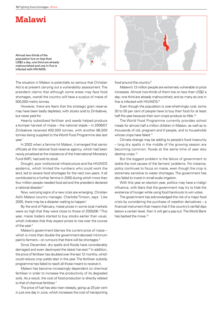## **Malawi**

Almost two-thirds of the population live on less than US\$2 a day, one third are already malnourished and one in five is infected with HIV/AIDS.

The situation in Malawi is potentially so serious that Christian Aid is at present carrying out a vulnerability assessment. The president claims that although some areas may face food shortages, overall the country will have a surplus of maize of 500,000 metric tonnes.

However, there are fears that the strategic grain reserve may have been badly depleted, with stocks sold to Zimbabwe, but never paid for.

Heavily subsidised fertiliser and seeds helped produce a bumper harvest of maize – the national staple – in 2006/07. Zimbabwe received 400,000 tonnes, with another 88,000 tonnes being supplied to the World Food Programme late last vear.<sup>1</sup>

In 2002 when a famine hit Malawi, it emerged that senior officials at the national food reserve agency, which had been newly privatised at the insistence of the International Monetary Fund (IMF), had sold its stock.

Drought, poor institutional infrastructure and the HIV/AIDS epidemic, which limited the numbers who could work the land, led to severe food shortages for the next two years. It all contributed to a further famine in 2005 during which more than four million people needed food aid and the president declared a national disaster.2

Now, worrying signs of a new crisis are emerging. Christian Aid's Malawi country manager, Charlotte Timson, says: 'Like 2005, there may be a disaster waiting to happen.'

By the end of February, maize prices in some local markets were so high that they were close to those of 2005/06. 3 This year, maize traders started to buy stocks earlier than usual, which indicates that they expect prices to rise over the course of the year.<sup>4</sup>

Malawi's government blames the current price of maize – which is more than double the government-decreed minimum paid to farmers – on rumours that there will be shortages.5

Since December, dry spells and floods have considerably damaged and even destroyed the latest harvest.<sup>6</sup> In addition, the price of fertiliser has doubled over the last 12 months, which could reduce crop yields later in the year. The fertiliser subsidy programme has failed to reach all those meant to receive it.

Malawi has become increasingly dependent on chemical fertiliser in order to increase the productivity of its degraded soils. As a result, the cost of food production is directly related to that of chemical fertiliser.7

The price of fuel has also risen steeply, going up 25 per cent in just one day in June, which increases the cost of transporting

food around the country.8

Malawi's 13 million people are extremely vulnerable to price increases. Almost two-thirds of them live on less than US\$2 a day; one third are already malnourished; and as many as one in five is infected with HIV/AIDS.9

Even though the population is overwhelmingly rural, some 30 to 50 per cent of people have to buy their food for at least half the year because their own crops produce so little.<sup>10</sup>

The World Food Programme currently provides school meals for almost half a million children in Malawi, as well as to thousands of old, pregnant and ill people, and to households whose crops have failed.<sup>11</sup>

Climate change may be adding to people's food insecurity – long dry spells in the middle of the growing season are becoming common; floods at the same time of year also destroy crops.<sup>12</sup>

But the biggest problem is the failure of government to tackle the root causes of the farmers' problems. For instance, policy continues to focus on maize, even though the crop is extremely sensitive to water shortages. The government has also failed to invest in small-scale irrigation.

With this year an election year, politics may have a malign influence, with fears that the government may try to hide the existence of hunger while using food hand-outs to win votes.

The government has acknowledged the risk of a major food crisis by considering the purchase of weather derivatives – a financial instrument that means that if the country's rainfall dips below a certain level, then it will get a pay-out. The World Bank has backed the move.<sup>13</sup>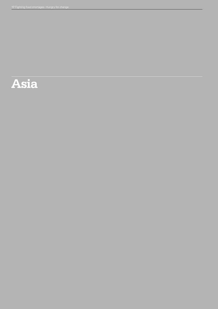# **Asia**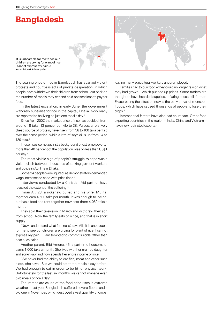## **Bangladesh**



'It is unbearable for me to see our children are crying for want of rice. I cannot express my pain...' Imran Ali, a rickshaw puller

The soaring price of rice in Bangladesh has sparked violent protests and countless acts of private desperation, in which people have withdrawn their children from school, cut back on the number of meals they eat and sold possessions to pay for food.

In the latest escalation, in early June, the government withdrew subsidies for rice in the capital, Dhaka. Now many are reported to be living on just one meal a day.<sup>1</sup>

Since April 2007, the market price of rice has doubled, from around 18 taka (13 pence) per kilo to 38. Pulses, a relatively cheap source of protein, have risen from 38 to 100 taka per kilo over the same period, while a litre of soya oil is up from 84 to 120 taka.2

These rises come against a background of extreme poverty: more than 40 per cent of the population lives on less than US\$1 per day.3

The most visible sign of people's struggle to cope was a violent clash between thousands of striking garment workers and police in April near Dhaka.

Some 24 people were injured, as demonstrators demanded wage increases to cope with price rises.4

Interviews conducted by a Christian Aid partner have revealed the extent of the suffering.<sup>5</sup>

Imran Ali, 23, a rickshaw puller, and his wife, Mukta, together earn 4,500 taka per month. It was enough to live on, but basic food and rent together now cost them 4,050 taka a month.

They sold their television in March and withdrew their son from school. Now the family eats only rice, and that is in short supply.

'Now I understand what famine is,' says Ali. 'It is unbearable for me to see our children are crying for want of rice. I cannot express my pain… I am tempted to commit suicide rather than bear such pains.'

Another parent, Bibi Amena, 45, a part-time housemaid, earns 1,000 taka a month. She lives with her married daughter and son-in-law and now spends her entire income on rice.

'We never had the ability to eat fish, meat and other such diets,' she says. 'But we could eat three meals a day before. We had enough to eat in order to be fit for physical work. Unfortunately for the last six months we cannot manage even two meals of rice a day.'

The immediate cause of the food price rises is extreme weather – last year Bangladesh suffered severe floods and a cyclone in November, which destroyed a vast quantity of crops,

leaving many agricultural workers underemployed.

Families had to buy food – they could no longer rely on what they had grown – which pushed up prices. Some traders are thought to have hoarded supplies, inflating prices still further. Exacerbating the situation now is the early arrival of monsoon floods, which have caused thousands of people to lose their crops.6

International factors have also had an impact. Other food exporting countries in the region – India, China and Vietnam – have now restricted exports.<sup>7</sup>

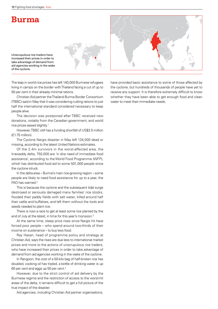## **Burma**

Unscrupulous rice traders have increased their prices in order to take advantage of demand from aid agencies working in the wake of the cyclone.





The leap in world rice prices has left 140,000 Burmese refugees living in camps on the border with Thailand facing a cut of up to 50 per cent in their already minimal rations.

Christian Aid partner the Thailand Burma Border Consortium (TBBC) said in May that it was considering cutting rations to just half the international standard considered necessary to keep people alive.

The decision was postponed after TBBC received new donations, notably from the Canadian government, and world rice prices eased slightly.<sup>1</sup>

However, TBBC still has a funding shortfall of US\$3.5 million (£1.75 million).

The Cyclone Nargis disaster in May left 134,000 dead or missing, according to the latest United Nations estimates.

Of the 2.4m survivors in the worst-affected area, the Irrawaddy delta, 750,000 are 'in dire need of immediate food assistance', according to the World Food Programme (WFP), which has distributed food aid to some 501,000 people since the cyclone struck.

In the delta area – Burma's main rice-growing region – some people are likely to need food assistance for up to a year, the FAO has warned.<sup>2</sup>

This is because the cyclone and the subsequent tidal surge destroyed or seriously damaged many families' rice stocks, flooded their paddy fields with salt water, killed around half their cattle and buffaloes, and left them without the tools and seeds needed to plant rice.

There is now a race to get at least some rice planted by the end of July at the latest, in time for this year's monsoon.<sup>3</sup>

At the same time, steep price rises since Nargis hit have forced poor people – who spend around two-thirds of their income on sustenance – to buy less food.

Ray Hasan, head of programme policy and strategy at Christian Aid, says the rises are due less to international market prices and more to the actions of unscrupulous rice traders, who have increased their prices in order to take advantage of demand from aid agencies working in the wake of the cyclone.

In Rangoon, the cost of a 50-kilo bag of half-broken rice has doubled, cooking oil has tripled, a bottle of drinking water is up 60 per cent and eggs up 50 per cent.4

However, due to the strict control of aid delivery by the Burmese regime and the restriction of access to the worst-hit areas of the delta, it remains difficult to get a full picture of the true impact of the disaster.

Aid agencies, including Christian Aid partner organisations,

have provided basic assistance to some of those affected by the cyclone, but hundreds of thousands of people have yet to receive any support. It is therefore extremely difficult to know whether they have been able to get enough food and clean water to meet their immediate needs.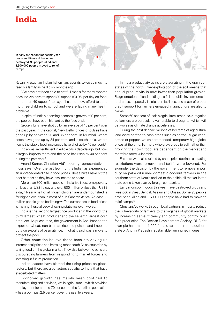## **India**



In early monsoon floods this year, crops and livestock have been destroyed, 93 people killed and 1,500,000 people moved to relief camps.

Rasani Prasad, an Indian fisherman, spends twice as much to feed his family as he did six months ago.

'We have not been able to eat full meals for many months because we have to spend 80 rupees (£0.96) per day on food, rather than 40 rupees,' he says. 'I cannot now afford to send my three children to school and we are facing many health problems.'

In spite of India's booming economic growth of 9 per cent, the poorest have been hit hard by the food crisis.

Grocery bills have shot up by an average of 40 per cent over the past year. In the capital, New Delhi, prices of pulses have gone up by between 20 and 35 per cent; in Mumbai, wheat costs have gone up by 24 per cent; and in south India, where rice is the staple food, rice prices have shot up by 40 per cent.<sup>1</sup>

India was self-sufficient in edible oils a decade ago, but now it largely imports them and the price has risen by 40 per cent during the past year.<sup>2</sup>

Anand Kumar, Christian Aid's country representative in India, says: 'Over the last few months India has experienced an unprecedented rise in food prices. These hikes have hit the poor hardest as they have less income to spare.'

More than 300 million people in India live in extreme poverty on less than US\$1 a day and over 500 million on less than US\$2 a day.3 Nearly half of all Indian children are undernourished, a far higher level than in most of sub-Saharan Africa. At least 80 million people go to bed hungry.4 The current rise in food prices is making these already shocking statistics even worse.

India is the second largest rice producer in the world, the third largest wheat producer and the seventh largest corn producer. As prices rose, the government in April banned the export of wheat, non-basmati rice and pulses, and imposed duty on exports of basmati rice, in what it said was a move to protect the poor.

Other countries believe these bans are driving up international prices and harming other south Asian countries by taking food off the global market. They also believe the bans are discouraging farmers from responding to market forces and investing in future production.

Indian leaders have blamed the rising prices on global factors, but there are also factors specific to India that have exacerbated matters.

Economic growth has mainly been confined to manufacturing and services, while agriculture – which provides employment for around 70 per cent of the 1.1 billion population – has grown just 2.5 per cent over the past five years.

In India productivity gains are stagnating in the grain-belt states of the north. Over-exploitation of the soil means that annual productivity is now lower than population growth. Fragmentation of land holdings, a fall in public investments in rural areas, especially in irrigation facilities, and a lack of proper credit support for farmers engaged in agriculture are also to blame.

Some 60 per cent of India's agricultural areas lacks irrigation so farmers are particularly vulnerable to droughts, which will get worse as climate change accelerates.

During the past decade millions of hectares of agricultural land were shifted to cash crops such as cotton, sugar cane, coffee or pepper, which commanded temporary high global prices at the time. Farmers who grow crops to sell, rather than growing their own food, are dependent on the market and therefore more vulnerable.

Farmers were also ruined by sharp price declines as trading restrictions were removed and tariffs were lowered. For example, the decision by the government to remove import duty on palm oil ruined domestic coconut farmers in the southern state of Kerala and led to the edible oil market in the state being taken over by foreign companies.

Early monsoon floods this year have destroyed crops and livestock in West Bengal, Assam and Orissa. Some 93 people have been killed and 1,500,000 people have had to move to relief camps.<sup>5</sup>

Christian Aid works through local partners in India to reduce the vulnerability of farmers to the vagaries of global markets by increasing self-sufficiency and community control over food production. The Deccan Development Society (DDS) for example has trained 4,000 female farmers in the southern state of Andhra Pradesh in sustainable farming techniques.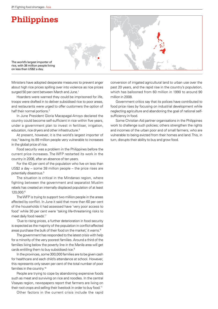## **Philippines**



The world's largest importer of rice, with 38 million people living on less than US\$2 a day.

Ministers have adopted desperate measures to prevent anger about high rice prices spilling over into violence as rice prices surged 50 per cent between March and June.<sup>1</sup>

Hoarders were warned they could be imprisoned for life, troops were drafted in to deliver subsidised rice to poor areas, and restaurants were urged to offer customers the option of half their normal portions.<sup>2</sup>

In June President Gloria Macapagal-Arroyo declared the country could become self-sufficient in rice within five years, under a government plan to invest in fertiliser, irrigation, education, rice dryers and other infrastructure.<sup>3</sup>

At present, however, it is the world's largest importer of rice,<sup>4</sup> leaving its 89 million people very vulnerable to increases in the global price of rice.

Food security was a problem in the Philippines before the current price increases. The WFP restarted its work in the country in 2006, after an absence of ten years.

For the 43 per cent of the population who live on less than US\$2 a day – some 38 million people – the price rises are potentially disastrous.<sup>5</sup>

The situation is critical in the Mindanao region, where fighting between the government and separatist Muslim rebels has created an internally displaced population of at least 120,000.6

The WFP is trying to support two million people in the areas affected by conflict. In June it said that more than 60 per cent of the households it had assessed have 'very poor access to food' while 30 per cent were 'taking life-threatening risks to meet daily food needs'.7

'Due to rising prices, a further deterioration in food security is expected as the majority of the population in conflict-affected areas purchase the bulk of their food on the market,' it warns.<sup>8</sup>

The government has responded to the latest crisis with help for a minority of the very poorest families. Around a third of the families living below the poverty line in the Manila area will get cards entitling them to buy subsidised rice.<sup>9</sup>

In the provinces, some 300,000 families are to be given cash for healthcare and each child's attendance at school. However, this represents only seven per cent of the total number of poor families in the country.<sup>10</sup>

People are trying to cope by abandoning expensive foods such as meat and surviving on rice and noodles. In the central Visayas region, newspapers report that farmers are living on their root crops and selling their livestock in order to buy food.<sup>11</sup>

Other factors in the current crisis include the rapid

conversion of irrigated agricultural land to urban use over the past 20 years, and the rapid rise in the country's population, which has ballooned from 60 million in 1990 to around 90 million in 2008.

Government critics say that its polices have contributed to food price rises by focusing on industrial development while neglecting agriculture and abandoning the goal of national selfsufficiency in food.

Some Christian Aid partner organisations in the Philippines work to challenge such policies; others strengthen the rights and incomes of the urban poor and of small farmers, who are vulnerable to being evicted from their homes and land. This, in turn, disrupts their ability to buy and grow food.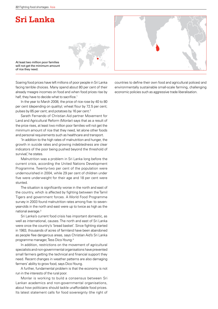## **Sri Lanka**



At least two million poor families will not get the minimum amount of rice they need.

Soaring food prices have left millions of poor people in Sri Lanka facing terrible choices. Many spend about 80 per cent of their already meagre incomes on food and when food prices rise by half, they have to decide what to sacrifice.<sup>1</sup>

In the year to March 2008, the price of rice rose by 40 to 80 per cent (depending on quality); wheat flour by 72.5 per cent; pulses by 85 per cent; and potatoes by 16 per cent.<sup>2</sup>

Sarath Fernando of Christian Aid partner Movement for Land and Agricultural Reform (Monlar) says that as a result of the price rises, at least two million poor families will not get the minimum amount of rice that they need, let alone other foods and personal requirements such as healthcare and transport.

'In addition to the high rates of malnutrition and hunger, the growth in suicide rates and growing indebtedness are clear indicators of the poor being pushed beyond the threshold of survival,' he states.

Malnutrition was a problem in Sri Lanka long before the current crisis, according the United Nations Development Programme. Twenty-two per cent of the population were undernourished in 2004, while 29 per cent of children under five were underweight for their age and 18 per cent were stunted.

The situation is significantly worse in the north and east of the country, which is affected by fighting between the Tamil Tigers and government forces. A World Food Programme survey in 2003 found malnutrition rates among five- to sevenyear-olds in the north and east were up to twice as high as the national average.<sup>3</sup>

Sri Lanka's current food crisis has important domestic, as well as international, causes. The north and east of Sri Lanka were once the country's 'bread basket'. Since fighting started in 1983, thousands of acres of farmland have been abandoned as people flee dangerous areas, says Christian Aid's Sri Lanka programme manager, Tess Dico-Young.4

In addition, restrictions on the movement of agricultural specialists and non-governmental organisations have prevented small farmers getting the technical and financial support they need. Recent changes in weather patterns are also damaging farmers' ability to grow food, says Dico-Young.

A further, fundamental problem is that the economy is not run in the interests of the rural poor.

Monlar is working to build a consensus between Sri Lankan academics and non-governmental organisations, about how politicians should tackle unaffordable food prices. Its latest statement calls for food sovereignty (the right of

countries to define their own food and agricultural polices) and environmentally sustainable small-scale farming, challenging economic policies such as aggressive trade liberalisation.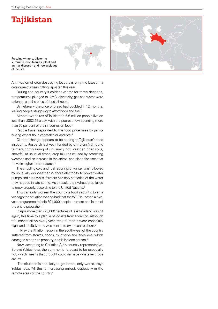## **Tajikistan**

Freezing winters, blistering summers, crop failures, plant and animal disease – and now a plague of locusts.

An invasion of crop-destroying locusts is only the latest in a catalogue of crises hitting Tajikistan this year.

During the country's coldest winter for three decades, temperatures plunged to -25°C, electricity, gas and water were rationed, and the price of food climbed.<sup>1</sup>

By February the price of bread had doubled in 12 months, leaving people struggling to afford food and fuel.<sup>2</sup>

Almost two-thirds of Tajikistan's 6.6 million people live on less than US\$2.15 a day, with the poorest now spending more than 70 per cent of their incomes on food.<sup>3</sup>

People have responded to the food price rises by panicbuying wheat flour, vegetable oil and rice.<sup>4</sup>

Climate change appears to be adding to Tajikistan's food insecurity. Research last year, funded by Christian Aid, found farmers complaining of unusually hot weather, drier soils, snowfall at unusual times, crop failures caused by scorching weather, and an increase in the animal and plant diseases that thrive in higher temperatures.<sup>5</sup>

The crippling cold and fuel rationing of winter was followed by unusually dry weather. Without electricity to power water pumps and tube wells, farmers had only a fraction of the water they needed in late spring. As a result, their wheat crop failed to grow properly, according to the United Nations.<sup>6</sup>

This can only worsen the country's food security. Even a year ago the situation was so bad that the WFP launched a twoyear programme to help 591,000 people – almost one in ten of the entire population.<sup>7</sup>

In April more than 220,000 hectares of Tajik farmland was hit again, this time by a plague of locusts from Morocco. Although the insects arrive every year, their numbers were especially high, and the Tajik army was sent in to try to control them.<sup>8</sup>

In May the Khatlon region in the south-west of the country suffered from storms, floods, mudflows and landslides, which damaged crops and property, and killed one person.<sup>9</sup>

Now, according to Christian Aid's country representative, Surayo Yuldasheva, the summer is forecast to be especially hot, which means that drought could damage whatever crops are left.

'The situation is not likely to get better, only worse,' says Yuldasheva. 'All this is increasing unrest, especially in the remote areas of the country.'

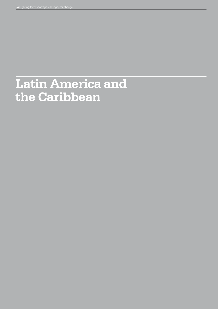# **Latin America and the Caribbean**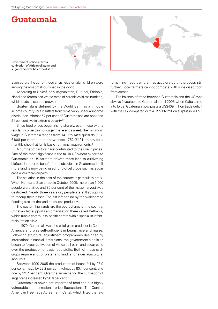## **Guatemala**







Even before the current food crisis, Guatemalan children were among the most malnourished in the world.

According to Unicef, only Afghanistan, Burundi, Ethiopia, Nepal and Yemen had worse rates of chronic child malnutrition, which leads to stunted growth.<sup>1</sup>

Guatemala is defined by the World Bank as a 'middle income country', but it suffers from remarkably unequal income distribution. Almost 57 per cent of Guatemalans are poor and 21 per cent live in extreme poverty.<sup>2</sup>

Since food prices began rising sharply, even those with a regular income can no longer make ends meet. The minimum wage in Guatemala ranges from 1410 to 1455 quetzals (£97- £100) per month, but it now costs 1752 (£121) to pay for a monthly shop that fulfils basic nutritional requirements.<sup>3</sup>

A number of factors have contributed to the rise in prices. One of the most significant is the fall in US wheat exports to Guatemala as US farmers devote more land to cultivating biofuels in order to benefit from subsidies. In Guatemala itself more land is now being used for biofuel crops such as sugar cane and African oil palm.

The situation in the east of the country is particularly stark. When Hurricane Stan struck in October 2005, more than 1,000 people were killed and 80 per cent of the maize harvest was destroyed. Nearly three years on, people are still struggling to recoup their losses. The silt left behind by the widespread flooding also left the land much less productive.

The eastern highlands are the poorest area of the country. Christian Aid supports an organisation there called Bethania, which runs a community health centre with a specialist infantmalnutrition clinic.

In 1970, Guatemala was the chief grain producer in Central America and was self-sufficient in beans, rice and maize. Following structural adjustment programmes designed by international financial institutions, the government's policies began to favour cultivation of African oil palm and sugar cane over the production of basic food stuffs. Both of these cash crops require a lot of water and land, and fewer agricultural labourers.

Between 1990-2005 the production of beans fell by 25.9 per cent; maize by 22.2 per cent; wheat by 80.4 per cent; and rice by 22.7 per cent. Over the same period the cultivation of sugar cane increased by 98.6 per cent.<sup>4</sup>

Guatemala is now a net importer of food and it is highly vulnerable to international price fluctuations. The Central American Free Trade Agreement (Cafta), which lifted the few

remaining trade barriers, has accelerated this process still further. Local farmers cannot compete with subsidised food from abroad.

The balance of trade between Guatemala and the US was always favourable to Guatemala until 2006 when Cafta came into force. Guatemala now posts a US\$409 million trade deficit with the US, compared with a US\$302 million surplus in 2005.<sup>5</sup>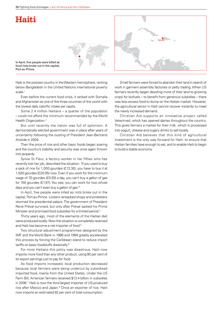## **Haiti**



In April, five people were killed as food riots broke out in the capital, Port-au-Prince.

Haiti is the poorest country in the Western hemisphere, ranking below Bangladesh in the United Nations international poverty scale.<sup>1</sup>

Even before the current food crisis, it ranked with Somalia and Afghanistan as one of the three countries of the world with the lowest daily calorific intake per capita.

Some 2.4 million Haitians – a quarter of the population – could not afford the minimum recommended by the World Health Organization.<sup>2</sup>

But until recently the nation was full of optimism. A democratically elected government was in place after years of uncertainty following the ousting of President Jean-Bertrand Aristide in 2004.

Then the price of rice and other basic foods began soaring and the country's stability and security was once again thrown into jeopardy.

Sylvie St Fleur, a factory worker in her fifties who has recently lost her job, described the situation: 'If you used to buy a sack of rice for 1,000 gourdes (£13.30), you have to buy it at 1,500 gourdes (£20.05) now. Even if you work for the minimum wage of 70 gourdes (£0.93) a day, you can't buy a gallon of gas for 150 gourdes (£1.97). You see, you can work for two whole days and you can't even buy a gallon of gas.'3

In April, five people were killed as riots broke out in the capital, Port-au-Prince. Looters ransacked shops and protesters stormed the presidential palace. The government of President René Préval survived, but only after Préval sacked his Prime Minister and promised food subsidies for a limited period.4

Thirty years ago, most of the elements of the Haitian diet were produced locally. Now the situation is completely reversed and Haiti has become a net importer of food.5

Two structural adjustment programmes designed by the IMF and the World Bank in 1986 and 1994 greatly accelerated this process by forcing the Caribbean island to reduce import tariffs on basic foodstuffs drastically.6

For most Haitians this policy was disastrous. Haiti now imports more food than any other product, using 80 per cent of its export earnings just to pay for food.

As food imports increased, local production decreased because local farmers were being undercut by subsidised imported food, mainly from the United States. Under the US Farm Bill, American farmers received \$13.4 billion in subsidies in 2006.7 Haiti is now the third largest importer of US-produced rice after Mexico and Japan.<sup>8</sup> Once an exporter of rice, Haiti now imports an estimated 82 per cent of total consumption.

Small farmers were forced to abandon their land in search of work in garment assembly factories or petty trading. When US farmers recently began devoting more of their land to growing crops for biofuels – to benefit from generous subsidies – there was less excess food to dump on the Haitian market. However, the agricultural sector in Haiti cannot recover instantly to meet the newly increased demand.

Christian Aid supports an innovative project called Veterimed, which has opened dairies throughout the country. This gives farmers a market for their milk, which is processed into yogurt, cheese and sugary drinks to sell locally.

Christian Aid believes that this kind of agricultural investment is the only way forward for Haiti: to ensure that Haitian families have enough to eat, and to enable Haiti to begin to build a stable economy.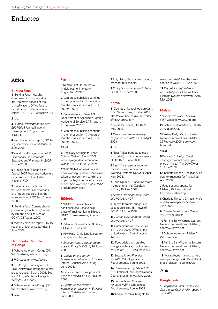### **Endnotes**

### Africa

### **Burkina Faso**

**1** 'Burkina Faso: riots shut down main towns', report by Irin, the news service of the United Nations Office for the Coordination of Humanitarian Affairs, (OCHA) 22 February 2008.

#### **2** Ibid.

**3** *Human Development Report 2007/2008,* United Nations Development Programme (UNDP).

**4** Monthly situation report, OCHA regional office for west Africa, 8 June 2008.

**5** World Food Programme (WFP), *Operational Requirements, Shortfalls and Priorities for 2008*, 1 June 2008.

**6** Burkina Faso: Floods Flash Appeal 2007, Food and Agriculture Organisation of the United Nations (FAO).

**7** 'Burkina Faso: violence between farmers and nomads kills fifteen', report by Irin, the news service of OCHA, 10 June 2008.

**8** 'Burkina Faso: Census shows population growth rising', report by Irin, the news service of OCHA, 22 August 2007.

**9** Monthly situation report, OCHA regional office for west Africa, 8 June 2008.

### **Democratic Republic of Congo**

**1** 'Where we work – Congo (DR),' WFP website, www.wfp.org

**2** FAO website, www.fao.org

**3** 'DR Congo: Starving in North Kivu', Norwegian Refugee Council press release, 13 June 2008. See also 'Hunger's Global Hotspots' WFP, 24 June 2008.

**4** 'Where we work – Congo (DR),' WFP website, www.wfp.org

#### **5** Ibid.

### **Egypt**

**1** Middle East Online, www. middle-east-online.com/ English/?id=25325

**2** 'Can bread subsidies continue in their present form?', report by Irin, the news service of OCHA, 10 April 2008.

**3** *Egypt Grain and Feed,* US Department of Agriculture Foreign Agricultural Service GAIN report, 26 February 2007.

**4** 'Can bread subsidies continue in their present form?', report by Irin, the news service of OCHA, 10 April 2008.

### **5** Ibid.

**6** 'The Daily Struggle for Food', Spiegel Online, 18 April 2008, www.spiegel.de/international/ world/0,1518,548300,00.html

**7** 'FAO Global Information and Early Warning System', 'Measures taken by government to limit the impact of high international cereal prices.' See www.fao.org/GIEWS/ english/policy/1.htm

### **Ethiopia**

**1** 'UNICEF makes plea for additional resources to help stave off malnutrition in Ethiopia', UNICEF press release, 2 June 2008.

**2** *Ethiopia: Humanitarian Bulletin*, OCHA, 16 June 2008.

**3** Abiy Hailu, Christian Aid country manager for Ethiopia.

**4** *Situation report: drought/food crisis in Ethiopia*, OCHA, 20 June 2008.

**5** *Update on the current humanitarian situation in Ethiopia*, internal Christian Aid briefing, June 2008.

**6** *Situation report: drought/food crisis in Ethiopia*, OCHA, 20 June 2008.

**7** *Update on the current humanitarian situation in Ethiopia*, internal Christian Aid briefing, June 2008.

**8** Abiy Hailu, Christian Aid country manager for Ethiopia.

**9** *Ethiopia: Humanitarian Bulletin,* OCHA, 16 June 2008.

### **Kenya**

**1** 'Clashes at Nairobi food protest', BBC News online, 31 May 2008. http://news.bbc.co.uk/1/hi/world/ africa/7429303.stm

**2** Kenya fact sheet, OCHA, 29 May 2008.

**3** *Kenya: revised emergency response plan 2008*, FAO, 8 April 2008.

#### **4** Ibid.

**5** 'East Africa: budgets to ease food crisis,' Irin, the news service of OCHA, 13 June 2008.

**6** East Africa regional report on market prices, Famine Early Warning Systems Network, April/ May 2008.

**7** Philip Ngunjiri, 'Starvation stalks the poor in Kenya', *The East African,* 15 June 2008.

**8** *Human Development Report 2007/2008,* UNDP.

**9** 'Kenya-Tanzania: budgets to ease food crisis', Irin, news of OCHA, 13 June 2008.

**10** *Human Development Report 2007/2008,* UNDP.

**11** Humanitarian update vol.23 5-11, June 2008, Office of the United Nations Coordinator in Kenya.

**12** 'Food crisis prompts diet changes in Kenya', Irin, the news service of OCHA, 12 June 2008.

**13** *Shortfalls and Priorities for 2008,* WFP Operational Requirements, 1 June 2008.

**14** *Humanitarian update vol.23 5-11*, Office of the United Nations Coordinator in Kenya, June 2008.

**15** *Shortfalls and Priorities for 2008,* WFP's Operational Requirements, 1 June 2008.

**16** 'Kenya-Tanzania: budgets to

ease food crisis', Irin, the news service of OCHA, 13 June 2008.

**17** *East Africa regional report on market prices*, Famine Early Warning Systems Network, April/ May 2008.

#### **Malawi**

**1** 'Where we work – Malawi', WFP website, www.wfp.org

**2** Flash appeal for Malawi, OCHA, 29 August 2005.

**3** Famine Early Warning System Network information on Malawi, 29 February 2008, see www. fews.net

#### **4** Ibid.

**5** Deborah Chipofya, 'Food shortage rumours pushing up price of maize', *The Daily Times*, 11 June 2008.

**6** Charlotte Timson, Christian Aid's country manager for Malawi, 24 April 2008.

**7** Food security update for Malawi, 20 June, internal Christian Aid briefing.

**8** Charlotte Timson, Christian Aid's country manager for Malawi, 19 June 2008.

**9** *Human Development Report 2007/2008,* UNDP.

**10** Famine Early Warning System Network information on Malawi, see www.fews.net

**11** 'Where we work – Malawi', WFP website.

**12** Famine Early Warning System Network information on Malawi, see www.fews.net

**13** 'Malawi eyes markets to help manage drought risk', World Bank press release, 16 June 2008.

### Asia

### **Bangladesh**

**1** *Bangladesh Ends Cheap Rice Sales in the Capital*, AFP report, 7 June 2008.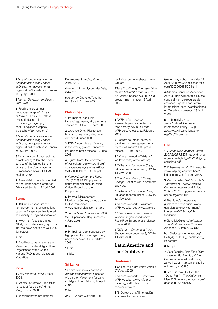**2** *Rise of Food Prices and the Situation of Working People in Dhaka*, non-governmental organisation Sramabikash Kendra study, April 2008.

**3** *Human Development Report 2007/2008,* UNDP.

**4** 'Food riots erupt near Bangladeshi capital', *Times of India*, 12 April 2008. http:// timesofindia.indiatimes. com/Food\_riots\_erupt near\_Bangladesh\_capital/ articleshow/2947769.cms)

**5** *Rise of Food Prices and the Situation of Working People in Dhaka*, non-governmental organisation Sramabikash Kendra study, April 2008.

**6** Early monsoon floods 'point to climate change', Irin, the news service of the United Nations Office for the Coordination of Humanitarian Affairs (OCHA), 25 June 2008.

**7** Dwijen Mallick, of Christian Aid partner Bangladesh Centre for Advanced Studies, 17 April 2007.

### **Burma**

**1** TBBC is a consortium of 11 non-governmental organisations based in Bangkok and registered as a charity in England and Wales.

**2** 'Myanmar: food assistance "likely" for up to a year', report by Irin, the news service of OCHA, 9 June 2008.

#### **3** Ibid.

**4** 'Food insecurity on the rise in Myanmar', Food and Agriculture Organisation of the United Nations (FAO) press release, 23 May 2008.

### **India**

**1** *The Economic Times*, 6 April 2008.

**2** Aseem Shrivastava, 'The failed harvest of food policy', Himal Mag, 8 June, 2008.

**3** Department for International

Development, *Ending Poverty in India*, 2007.

**4** www.dfid.gov.uk/countries/asia/ india.asp

**5** Action by Churches Together (ACT) alert, 27 June 2008.

### **Philippines**

**1** 'Philippines: rice crisis increasing poverty', Irin, the news service of OCHA, 9 June 2008.

**2** Laurence Ong, 'Rice prices hit Philippines poor', BBC news website, 4 June 2008.

**3** 'PGMA vows rice sufficiency in five years', government of the Philippines press release, 10 June 2008.

**4** Figures from US Department of Agriculture, see www.irri.org/ science/ricestat/data/may2008/ WRS2008-Table10-USDA.pdf

**5** *Human Development Report 2007/2008,* UNDP; population figure from National Statistics Office, Republic of the Philippines.

**6** 'Internal Displacement Monitoring Centre', country page for the Philippines. www.internal-displacement.org

**7** *Shortfalls and Priorities for 2008,*  WFP Operational Requirements, 4 June 2008.

#### **8** Ibid.

**9** 'Philippines: poor squeezed by high prices, food shortages', Irin, news service of OCHA, 6 May 2008.

**10** Ibid.

**11** Ibid.

### **Sri Lanka**

**1** Sarath Fernando, *Food prices – can the poor afford it?*, Christian Aid partner Movement for Land and Agricultural Reform, 14 April 2008.

#### **2** Ibid.

**3** WFP, 'Where we work – Sri

Lanka' section of website: www. wfp.org

**4** Tess Dico-Young*, The key driving factors behind the food crisis in Sri Lanka*, Christian Aid Sri Lanka programme manager, 18 April 2008.

#### **Tajikistan**

**1** 'WFP to feed 200,000 vulnerable people affected by food emergency in Tajikistan', WFP press release, 22 February 2008.

**2** 'Poorest countries' cereal bill continues to soar, governments try to limit impact', FAO press release, 11 April 2008.

**3** 'Where we work – Tajikistan', WFP website, www.wfp.org

**4** *Tajikistan – Compound Crisis,*  Situation report number 8, OCHA, 13 May 2008.

**5** *The Human Face of Climate Change*, Christian Aid, November 2007, p9.

**6** *Tajikistan – Compound Crisis*, Situation report number 8, OCHA, 13 May 2008.

**7** 'Where we work – Tajikistan', WFP website, see www.wfp.org

**8** 'Central Asia: locust invasion worsens region's food woes', Radio Free Europe press release, 3 June 2008.

**9** *Tajikistan – Compound Crisis*, Situation report number 8, OCHA, 13 May 2008.

### Latin America and the Caribbean

#### **Guatemala**

**1** Unicef, *The State of the World's Children*, 2006.

**2** 'Where we work – Guatemala', WFP website, www.wfp.org/ country\_brief/indexcountry. asp?country=320

**3** 'El Derecho a la Alimentación y la Crisis Alimentaria en

Guatemala', Noticas del Valle, 24 April 2008, www.noticiasdelvalle. com/1209062688O-3.html

**4** Adelaida Gonzalez Menendez, Ante la Crisis Alimentaria la lucha contra el Hambre requiere de acciones urgentes, for Centro Internacional para Investigaciones en Derechos Humanos, 23 April 2008.

**5** Umberto Mazzei, *A year of CAFTA,* Centre for International Policy, 9 Aug 2007, www.ircamericas.org/ esp/4462#comments

#### **Haiti**

**1** *Human Development Report 2007/2008,* UNDP, http://hdr.undp. org/en/media/hdr\_20072008\_en\_ complete.pdf

**2** 'Where we work', WFP website, www.wfp.org/country\_brief/ indexcountry.asp?country=332

**3** Mark Schuller, *Haiti Food Riots Unnerving But Not Surprising*, Centre for International Policy, 25 April 2008, http://americas.irconline.org/am/5186

**4** *The Guardian* interactive guide to the food crisis, www. guardian.co.uk/environment/ interactive/2008/may/27/ foodcrisis

**5** Claire McGuigan*, Agricultural Liberalisation in Haiti*, Christian Aid report, March 2006, p10.

http://haitisupport.gn.apc.org/ Haiti\_Agricultural\_Liberalization\_ Report.pdf

#### **6** Ibid, p9.

**7** Mark Schuller, *Haiti Food Riots Unnerving But Not Surprising*, Centre for International Policy, 25 April 2008, http://americas.irconline.org/am/5186

**8** Reed Lindsay, 'Haiti on the "Death Plan" ', *The Nation,* 15 May 2008, www.thenation.com/ doc/20080602/lindsay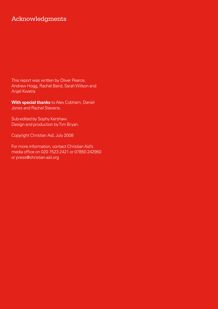## Acknowledgments

This report was written by Oliver Pearce, Andrew Hogg, Rachel Baird, Sarah Wilson and Anjali Kwatra.

**With special thanks** to Alex Cobham, Daniel Jones and Rachel Stevens.

Sub-edited by Sophy Kershaw. Design and production by Tim Bryan.

Copyright Christian Aid, July 2008

For more information, contact Christian Aid's media office on 020 7523 2421 or 07850 242950 or press@christian-aid.org